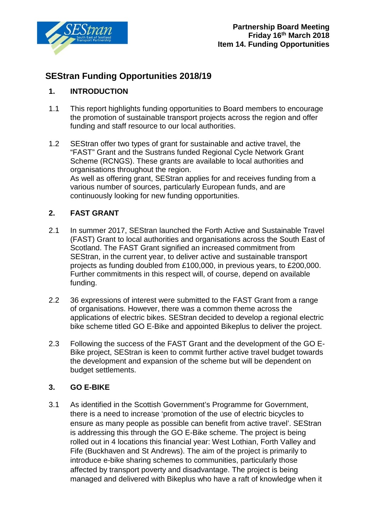

# **SEStran Funding Opportunities 2018/19**

## **1. INTRODUCTION**

- 1.1 This report highlights funding opportunities to Board members to encourage the promotion of sustainable transport projects across the region and offer funding and staff resource to our local authorities.
- 1.2 SEStran offer two types of grant for sustainable and active travel, the "FAST" Grant and the Sustrans funded Regional Cycle Network Grant Scheme (RCNGS). These grants are available to local authorities and organisations throughout the region. As well as offering grant, SEStran applies for and receives funding from a various number of sources, particularly European funds, and are continuously looking for new funding opportunities.

## **2. FAST GRANT**

- 2.1 In summer 2017, SEStran launched the Forth Active and Sustainable Travel (FAST) Grant to local authorities and organisations across the South East of Scotland. The FAST Grant signified an increased commitment from SEStran, in the current year, to deliver active and sustainable transport projects as funding doubled from £100,000, in previous years, to £200,000. Further commitments in this respect will, of course, depend on available funding.
- 2.2 36 expressions of interest were submitted to the FAST Grant from a range of organisations. However, there was a common theme across the applications of electric bikes. SEStran decided to develop a regional electric bike scheme titled GO E-Bike and appointed Bikeplus to deliver the project.
- 2.3 Following the success of the FAST Grant and the development of the GO E-Bike project, SEStran is keen to commit further active travel budget towards the development and expansion of the scheme but will be dependent on budget settlements.

## **3. GO E-BIKE**

3.1 As identified in the Scottish Government's Programme for Government, there is a need to increase 'promotion of the use of electric bicycles to ensure as many people as possible can benefit from active travel'. SEStran is addressing this through the GO E-Bike scheme. The project is being rolled out in 4 locations this financial year: West Lothian, Forth Valley and Fife (Buckhaven and St Andrews). The aim of the project is primarily to introduce e-bike sharing schemes to communities, particularly those affected by transport poverty and disadvantage. The project is being managed and delivered with Bikeplus who have a raft of knowledge when it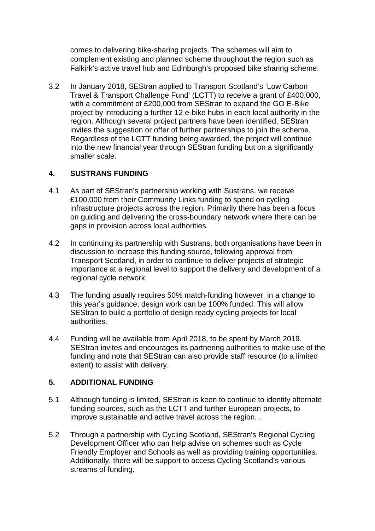comes to delivering bike-sharing projects. The schemes will aim to complement existing and planned scheme throughout the region such as Falkirk's active travel hub and Edinburgh's proposed bike sharing scheme.

3.2 In January 2018, SEStran applied to Transport Scotland's 'Low Carbon Travel & Transport Challenge Fund' (LCTT) to receive a grant of £400,000, with a commitment of £200,000 from SEStran to expand the GO E-Bike project by introducing a further 12 e-bike hubs in each local authority in the region. Although several project partners have been identified, SEStran invites the suggestion or offer of further partnerships to join the scheme. Regardless of the LCTT funding being awarded, the project will continue into the new financial year through SEStran funding but on a significantly smaller scale.

### **4. SUSTRANS FUNDING**

- 4.1 As part of SEStran's partnership working with Sustrans, we receive £100,000 from their Community Links funding to spend on cycling infrastructure projects across the region. Primarily there has been a focus on guiding and delivering the cross-boundary network where there can be gaps in provision across local authorities.
- 4.2 In continuing its partnership with Sustrans, both organisations have been in discussion to increase this funding source, following approval from Transport Scotland, in order to continue to deliver projects of strategic importance at a regional level to support the delivery and development of a regional cycle network.
- 4.3 The funding usually requires 50% match-funding however, in a change to this year's guidance, design work can be 100% funded. This will allow SEStran to build a portfolio of design ready cycling projects for local authorities.
- 4.4 Funding will be available from April 2018, to be spent by March 2019. SEStran invites and encourages its partnering authorities to make use of the funding and note that SEStran can also provide staff resource (to a limited extent) to assist with delivery.

#### **5. ADDITIONAL FUNDING**

- 5.1 Although funding is limited, SEStran is keen to continue to identify alternate funding sources, such as the LCTT and further European projects, to improve sustainable and active travel across the region. .
- 5.2 Through a partnership with Cycling Scotland, SEStran's Regional Cycling Development Officer who can help advise on schemes such as Cycle Friendly Employer and Schools as well as providing training opportunities. Additionally, there will be support to access Cycling Scotland's various streams of funding.